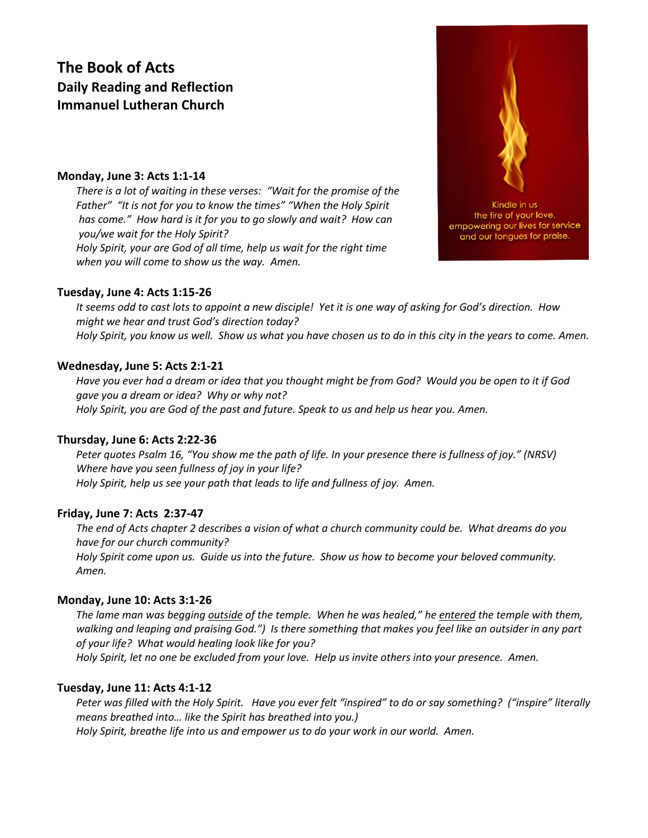# **The Book of Acts Daily Reading and Reflection Immanuel Lutheran Church**

# **Monday, June 3: Acts 1:1-14**

*There is a lot of waiting in these verses: "Wait for the promise of the Father" "It is not for you to know the times" "When the Holy Spirit has come." How hard is it for you to go slowly and wait? How can you/we wait for the Holy Spirit? Holy Spirit, your are God of all time, help us wait for the right time when you will come to show us the way. Amen.*

# **Tuesday, June 4: Acts 1:15-26**

*It seems odd to cast lots to appoint a new disciple! Yet it is one way of asking for God's direction. How might we hear and trust God's direction today? Holy Spirit, you know us well. Show us what you have chosen us to do in this city in the years to come. Amen.*

# **Wednesday, June 5: Acts 2:1-21**

*Have you ever had a dream or idea that you thought might be from God? Would you be open to it if God gave you a dream or idea? Why or why not? Holy Spirit, you are God of the past and future. Speak to us and help us hear you. Amen.*

# **Thursday, June 6: Acts 2:22-36**

*Peter quotes Psalm 16, "You show me the path of life. In your presence there is fullness of joy." (NRSV) Where have you seen fullness of joy in your life? Holy Spirit, help us see your path that leads to life and fullness of joy. Amen.*

# **Friday, June 7: Acts 2:37-47**

*The end of Acts chapter 2 describes a vision of what a church community could be. What dreams do you have for our church community? Holy Spirit come upon us. Guide us into the future. Show us how to become your beloved community.* 

*Amen.*

# **Monday, June 10: Acts 3:1-26**

*The lame man was begging outside of the temple. When he was healed," he entered the temple with them, walking and leaping and praising God.") Is there something that makes you feel like an outsider in any part of your life? What would healing look like for you?* 

*Holy Spirit, let no one be excluded from your love. Help us invite others into your presence. Amen.*

# **Tuesday, June 11: Acts 4:1-12**

*Peter was filled with the Holy Spirit. Have you ever felt "inspired" to do or say something? ("inspire" literally means breathed into… like the Spirit has breathed into you.) Holy Spirit, breathe life into us and empower us to do your work in our world. Amen.*

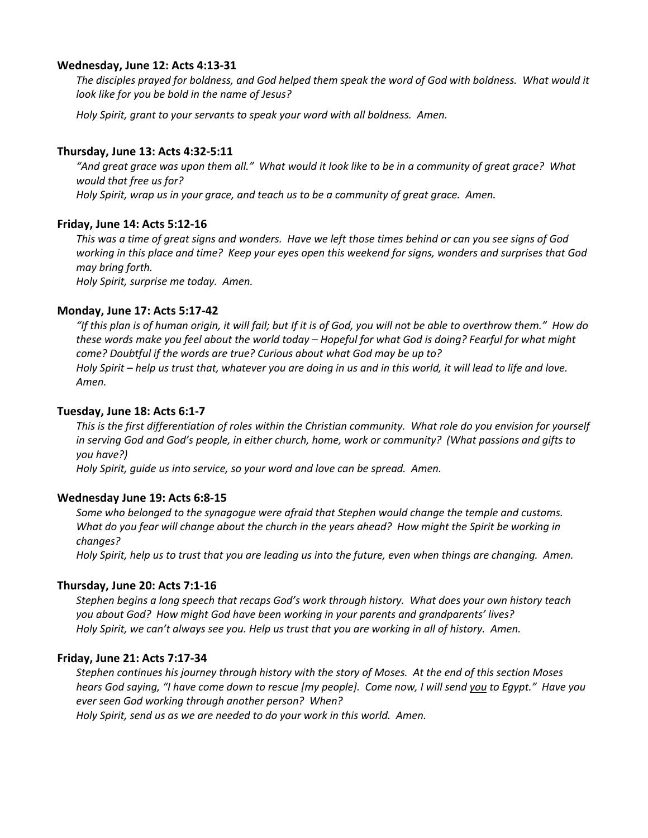# **Wednesday, June 12: Acts 4:13-31**

*The disciples prayed for boldness, and God helped them speak the word of God with boldness. What would it look like for you be bold in the name of Jesus?*

*Holy Spirit, grant to your servants to speak your word with all boldness. Amen.*

# **Thursday, June 13: Acts 4:32-5:11**

*"And great grace was upon them all." What would it look like to be in a community of great grace? What would that free us for? Holy Spirit, wrap us in your grace, and teach us to be a community of great grace. Amen.*

# **Friday, June 14: Acts 5:12-16**

*This was a time of great signs and wonders. Have we left those times behind or can you see signs of God working in this place and time? Keep your eyes open this weekend for signs, wonders and surprises that God may bring forth.*

*Holy Spirit, surprise me today. Amen.*

# **Monday, June 17: Acts 5:17-42**

*"If this plan is of human origin, it will fail; but If it is of God, you will not be able to overthrow them." How do these words make you feel about the world today – Hopeful for what God is doing? Fearful for what might come? Doubtful if the words are true? Curious about what God may be up to? Holy Spirit – help us trust that, whatever you are doing in us and in this world, it will lead to life and love. Amen.*

# **Tuesday, June 18: Acts 6:1-7**

*This is the first differentiation of roles within the Christian community. What role do you envision for yourself in serving God and God's people, in either church, home, work or community? (What passions and gifts to you have?)*

*Holy Spirit, guide us into service, so your word and love can be spread. Amen.* 

# **Wednesday June 19: Acts 6:8-15**

*Some who belonged to the synagogue were afraid that Stephen would change the temple and customs. What do you fear will change about the church in the years ahead? How might the Spirit be working in changes?*

*Holy Spirit, help us to trust that you are leading us into the future, even when things are changing. Amen.*

# **Thursday, June 20: Acts 7:1-16**

*Stephen begins a long speech that recaps God's work through history. What does your own history teach you about God? How might God have been working in your parents and grandparents' lives? Holy Spirit, we can't always see you. Help us trust that you are working in all of history. Amen.*

# **Friday, June 21: Acts 7:17-34**

*Stephen continues his journey through history with the story of Moses. At the end of this section Moses hears God saying, "I have come down to rescue [my people]. Come now, I will send you to Egypt." Have you ever seen God working through another person? When?* 

*Holy Spirit, send us as we are needed to do your work in this world. Amen.*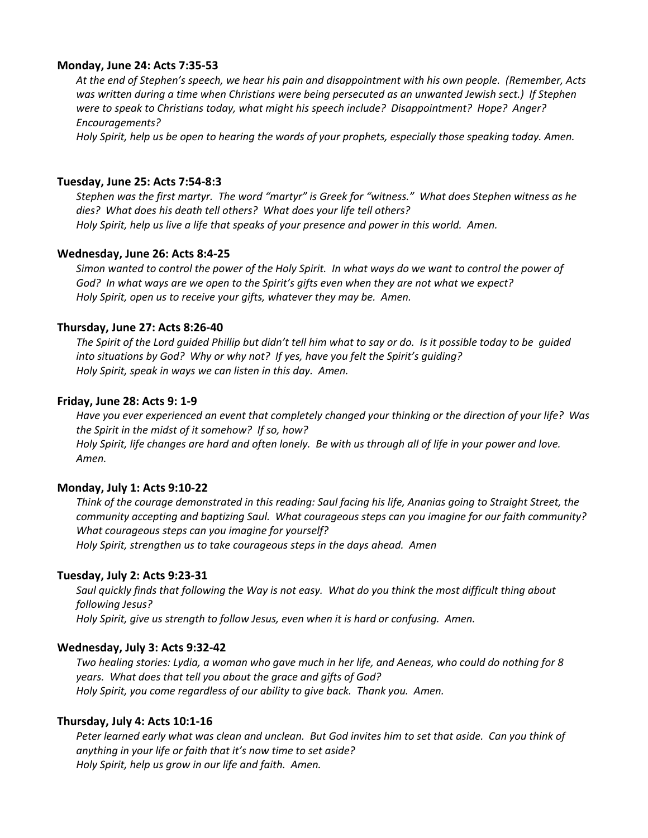# **Monday, June 24: Acts 7:35-53**

*At the end of Stephen's speech, we hear his pain and disappointment with his own people. (Remember, Acts was written during a time when Christians were being persecuted as an unwanted Jewish sect.) If Stephen were to speak to Christians today, what might his speech include? Disappointment? Hope? Anger? Encouragements?* 

*Holy Spirit, help us be open to hearing the words of your prophets, especially those speaking today. Amen.* 

# **Tuesday, June 25: Acts 7:54-8:3**

*Stephen was the first martyr. The word "martyr" is Greek for "witness." What does Stephen witness as he dies? What does his death tell others? What does your life tell others? Holy Spirit, help us live a life that speaks of your presence and power in this world. Amen.*

# **Wednesday, June 26: Acts 8:4-25**

*Simon wanted to control the power of the Holy Spirit. In what ways do we want to control the power of God? In what ways are we open to the Spirit's gifts even when they are not what we expect? Holy Spirit, open us to receive your gifts, whatever they may be. Amen.*

# **Thursday, June 27: Acts 8:26-40**

*The Spirit of the Lord guided Phillip but didn't tell him what to say or do. Is it possible today to be guided into situations by God? Why or why not? If yes, have you felt the Spirit's guiding? Holy Spirit, speak in ways we can listen in this day. Amen.*

# **Friday, June 28: Acts 9: 1-9**

*Have you ever experienced an event that completely changed your thinking or the direction of your life? Was the Spirit in the midst of it somehow? If so, how? Holy Spirit, life changes are hard and often lonely. Be with us through all of life in your power and love. Amen.*

# **Monday, July 1: Acts 9:10-22**

*Think of the courage demonstrated in this reading: Saul facing his life, Ananias going to Straight Street, the community accepting and baptizing Saul. What courageous steps can you imagine for our faith community? What courageous steps can you imagine for yourself? Holy Spirit, strengthen us to take courageous steps in the days ahead. Amen*

# **Tuesday, July 2: Acts 9:23-31**

*Saul quickly finds that following the Way is not easy. What do you think the most difficult thing about following Jesus?* 

*Holy Spirit, give us strength to follow Jesus, even when it is hard or confusing. Amen.* 

# **Wednesday, July 3: Acts 9:32-42**

*Two healing stories: Lydia, a woman who gave much in her life, and Aeneas, who could do nothing for 8 years. What does that tell you about the grace and gifts of God? Holy Spirit, you come regardless of our ability to give back. Thank you. Amen.*

# **Thursday, July 4: Acts 10:1-16**

*Peter learned early what was clean and unclean. But God invites him to set that aside. Can you think of anything in your life or faith that it's now time to set aside? Holy Spirit, help us grow in our life and faith. Amen.*